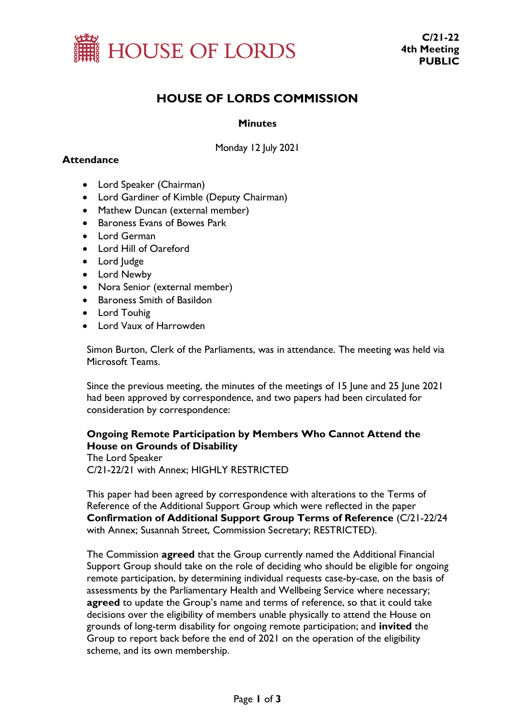

# **HOUSE OF LORDS COMMISSION**

### **Minutes**

Monday 12 July 2021

## **Attendance**

- Lord Speaker (Chairman)
- Lord Gardiner of Kimble (Deputy Chairman)
- Mathew Duncan (external member)
- Baroness Evans of Bowes Park
- Lord German
- Lord Hill of Oareford
- Lord Judge
- Lord Newby
- Nora Senior (external member)
- Baroness Smith of Basildon
- Lord Touhig
- Lord Vaux of Harrowden

Simon Burton, Clerk of the Parliaments, was in attendance. The meeting was held via Microsoft Teams.

Since the previous meeting, the minutes of the meetings of 15 June and 25 June 2021 had been approved by correspondence, and two papers had been circulated for consideration by correspondence:

## **Ongoing Remote Participation by Members Who Cannot Attend the House on Grounds of Disability**

The Lord Speaker C/21-22/21 with Annex; HIGHLY RESTRICTED

This paper had been agreed by correspondence with alterations to the Terms of Reference of the Additional Support Group which were reflected in the paper **Confirmation of Additional Support Group Terms of Reference** (C/21-22/24 with Annex; Susannah Street, Commission Secretary; RESTRICTED).

The Commission **agreed** that the Group currently named the Additional Financial Support Group should take on the role of deciding who should be eligible for ongoing remote participation, by determining individual requests case-by-case, on the basis of assessments by the Parliamentary Health and Wellbeing Service where necessary; **agreed** to update the Group's name and terms of reference, so that it could take decisions over the eligibility of members unable physically to attend the House on grounds of long-term disability for ongoing remote participation; and **invited** the Group to report back before the end of 2021 on the operation of the eligibility scheme, and its own membership.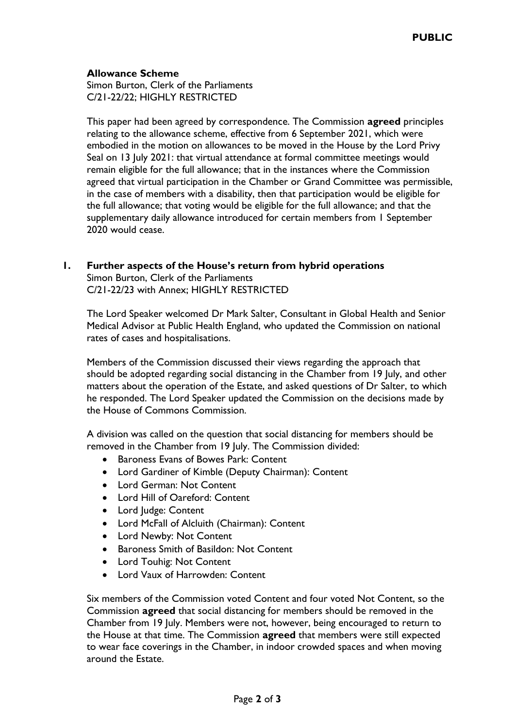## **Allowance Scheme**

Simon Burton, Clerk of the Parliaments C/21-22/22; HIGHLY RESTRICTED

This paper had been agreed by correspondence. The Commission **agreed** principles relating to the allowance scheme, effective from 6 September 2021, which were embodied in the motion on allowances to be moved in the House by the Lord Privy Seal on 13 July 2021: that virtual attendance at formal committee meetings would remain eligible for the full allowance; that in the instances where the Commission agreed that virtual participation in the Chamber or Grand Committee was permissible, in the case of members with a disability, then that participation would be eligible for the full allowance; that voting would be eligible for the full allowance; and that the supplementary daily allowance introduced for certain members from 1 September 2020 would cease.

## **1. Further aspects of the House's return from hybrid operations**

Simon Burton, Clerk of the Parliaments C/21-22/23 with Annex; HIGHLY RESTRICTED

The Lord Speaker welcomed Dr Mark Salter, Consultant in Global Health and Senior Medical Advisor at Public Health England, who updated the Commission on national rates of cases and hospitalisations.

Members of the Commission discussed their views regarding the approach that should be adopted regarding social distancing in the Chamber from 19 July, and other matters about the operation of the Estate, and asked questions of Dr Salter, to which he responded. The Lord Speaker updated the Commission on the decisions made by the House of Commons Commission.

A division was called on the question that social distancing for members should be removed in the Chamber from 19 July. The Commission divided:

- Baroness Evans of Bowes Park: Content
- Lord Gardiner of Kimble (Deputy Chairman): Content
- Lord German: Not Content
- Lord Hill of Oareford: Content
- Lord Judge: Content
- Lord McFall of Alcluith (Chairman): Content
- Lord Newby: Not Content
- Baroness Smith of Basildon: Not Content
- Lord Touhig: Not Content
- Lord Vaux of Harrowden: Content

Six members of the Commission voted Content and four voted Not Content, so the Commission **agreed** that social distancing for members should be removed in the Chamber from 19 July. Members were not, however, being encouraged to return to the House at that time. The Commission **agreed** that members were still expected to wear face coverings in the Chamber, in indoor crowded spaces and when moving around the Estate.